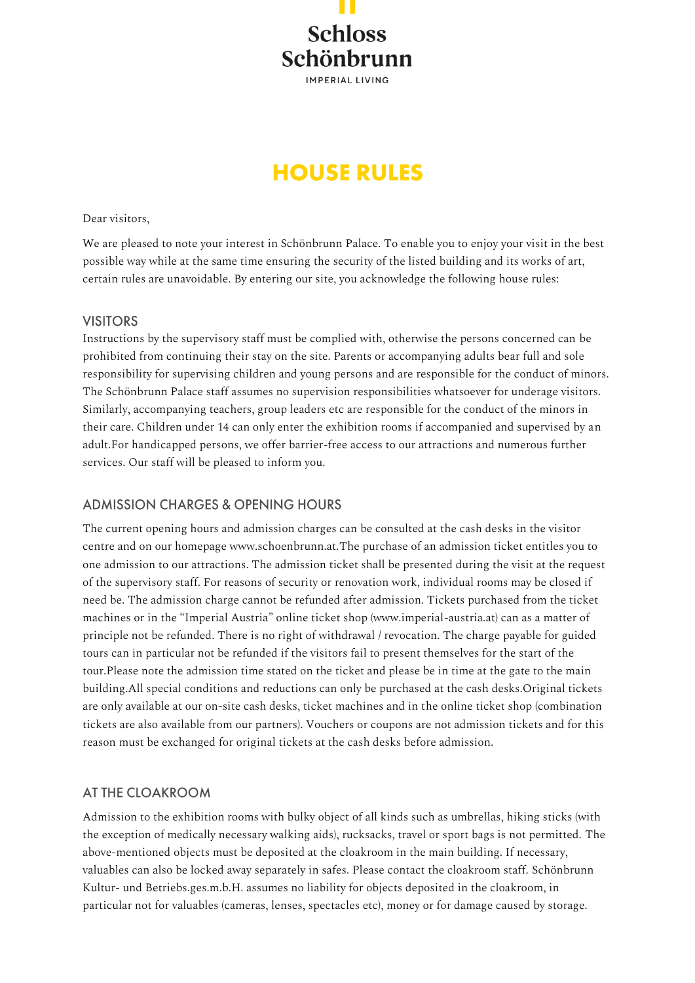**Schloss** Schönbrunn **IMPERIAL LIVING** 

# **HOUSE RULES**

### Dear visitors,

We are pleased to note your interest in Schönbrunn Palace. To enable you to enjoy your visit in the best possible way while at the same time ensuring the security of the listed building and its works of art, certain rules are unavoidable. By entering our site, you acknowledge the following house rules:

### **VISITORS**

Instructions by the supervisory staff must be complied with, otherwise the persons concerned can be prohibited from continuing their stay on the site. Parents or accompanying adults bear full and sole responsibility for supervising children and young persons and are responsible for the conduct of minors. The Schönbrunn Palace staff assumes no supervision responsibilities whatsoever for underage visitors. Similarly, accompanying teachers, group leaders etc are responsible for the conduct of the minors in their care. Children under 14 can only enter the exhibition rooms if accompanied and supervised by an adult.For handicapped persons, we offer barrier-free access to our attractions and numerous further services. Our staff will be pleased to inform you.

# **ADMISSION CHARGES & OPENING HOURS**

The current opening hours and admission charges can be consulted at the cash desks in the visitor centre and on our homepage www.schoenbrunn.at.The purchase of an admission ticket entitles you to one admission to our attractions. The admission ticket shall be presented during the visit at the request of the supervisory staff. For reasons of security or renovation work, individual rooms may be closed if need be. The admission charge cannot be refunded after admission. Tickets purchased from the ticket machines or in the "Imperial Austria" online ticket shop (www.imperial-austria.at) can as a matter of principle not be refunded. There is no right of withdrawal / revocation. The charge payable for guided tours can in particular not be refunded if the visitors fail to present themselves for the start of the tour.Please note the admission time stated on the ticket and please be in time at the gate to the main building.All special conditions and reductions can only be purchased at the cash desks.Original tickets are only available at our on-site cash desks, ticket machines and in the online ticket shop (combination tickets are also available from our partners). Vouchers or coupons are not admission tickets and for this reason must be exchanged for original tickets at the cash desks before admission.

## AT THE CLOAKROOM

Admission to the exhibition rooms with bulky object of all kinds such as umbrellas, hiking sticks (with the exception of medically necessary walking aids), rucksacks, travel or sport bags is not permitted. The above-mentioned objects must be deposited at the cloakroom in the main building. If necessary, valuables can also be locked away separately in safes. Please contact the cloakroom staff. Schönbrunn Kultur- und Betriebs.ges.m.b.H. assumes no liability for objects deposited in the cloakroom, in particular not for valuables (cameras, lenses, spectacles etc), money or for damage caused by storage.